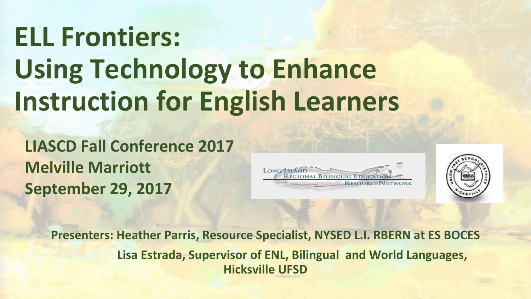# **ELL Frontiers: Using Technology to Enhance Instruction for English Learners**

**LIASCD Fall Conference 2017 Melville Marriott September 29, 2017**





**Presenters: Heather Parris, Resource Specialist, NYSED L.I. RBERN at ES BOCES Lisa Estrada, Supervisor of ENL, Bilingual and World Languages, Hicksville UFSD**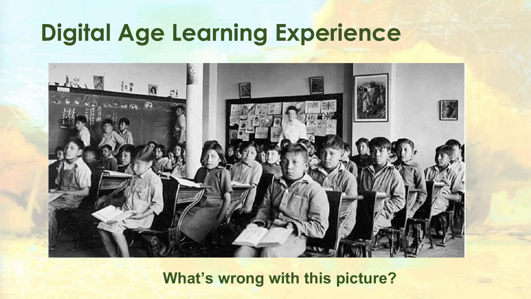# **Digital Age Learning Experience**



**What's wrong with this picture?**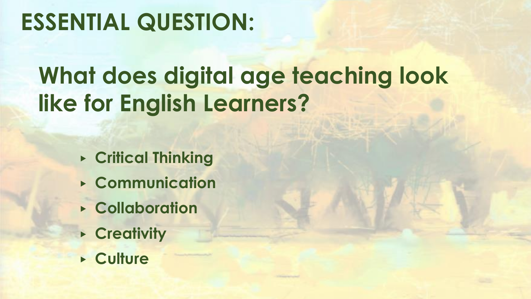# **ESSENTIAL QUESTION:**

# **What does digital age teaching look like for English Learners?**

- ▶ **Critical Thinking**
- ▶ **Communication**
- ▶ **Collaboration**
- ▶ **Creativity**
- ▶ **Culture**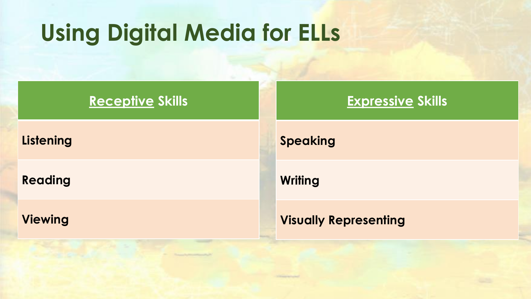# **Using Digital Media for ELLs**

#### **Receptive Skills**

#### **Listening**

**Reading**

**Viewing**

#### **Speaking**

**Writing**

#### **Visually Representing**

**Expressive Skills**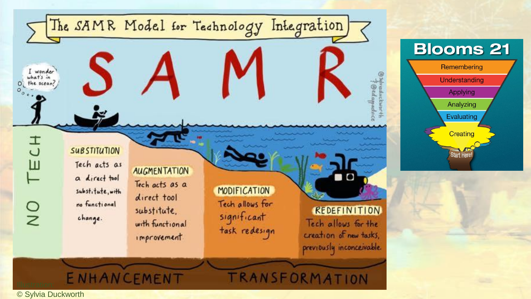



© Sylvia Duckworth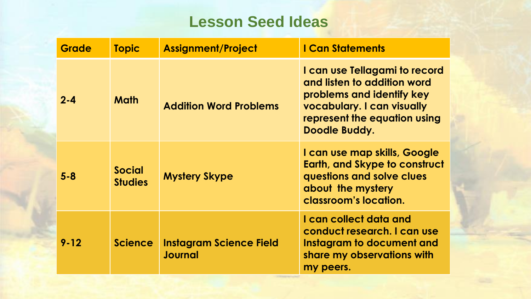### **Lesson Seed Ideas**

| <b>Grade</b> | <b>Topic</b>                    | <b>Assignment/Project</b>                        | <b>I Can Statements</b>                                                                                                                                                  |
|--------------|---------------------------------|--------------------------------------------------|--------------------------------------------------------------------------------------------------------------------------------------------------------------------------|
| $2 - 4$      | <b>Math</b>                     | <b>Addition Word Problems</b>                    | I can use Tellagami to record<br>and listen to addition word<br>problems and identify key<br>vocabulary. I can visually<br>represent the equation using<br>Doodle Buddy. |
| $5 - 8$      | <b>Social</b><br><b>Studies</b> | <b>Mystery Skype</b>                             | I can use map skills, Google<br><b>Earth, and Skype to construct</b><br>questions and solve clues<br>about the mystery<br>classroom's location.                          |
| $9 - 12$     | <b>Science</b>                  | <b>Instagram Science Field</b><br><b>Journal</b> | I can collect data and<br>conduct research. I can use<br>Instagram to document and<br>share my observations with<br>my peers.                                            |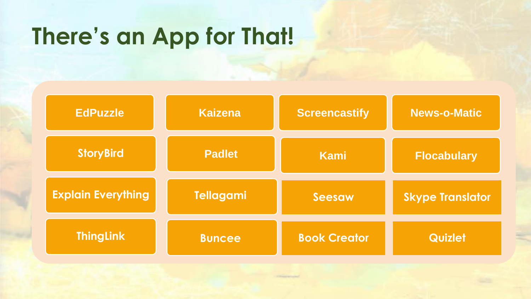## **There's an App for That!**

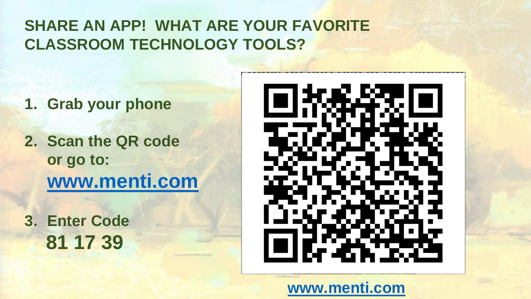### **SHARE AN APP! WHAT ARE YOUR FAVORITE CLASSROOM TECHNOLOGY TOOLS?**

- **1. Grab your phone**
- **2. Scan the QR code or go to: [www.menti.com](http://www.menti.com/)**
- **3. Enter Code 81 17 39**



### **[www.menti.com](http://www.menti.com/)**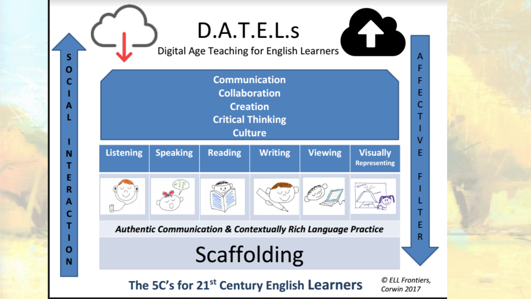# D.A.T.E.L.s

Digital Age Teaching for English Learners

**S** 

O

C

A

N

Ε

R

A

C

O

N



## **Scaffolding**

The 5C's for 21<sup>st</sup> Century English Learners

© ELL Frontiers, Corwin 2017

 $\Box$ 

A